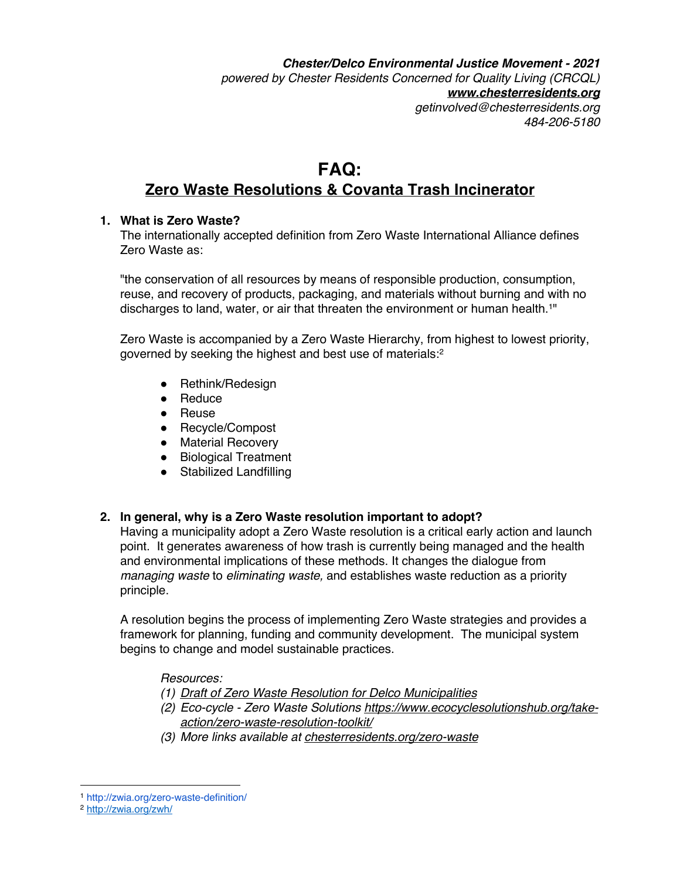*Chester/Delco Environmental Justice Movement - 2021 powered by Chester Residents Concerned for Quality Living (CRCQL) www.chesterresidents.org getinvolved@chesterresidents.org 484-206-5180*

# **FAQ: Zero Waste Resolutions & Covanta Trash Incinerator**

#### **1. What is Zero Waste?**

The internationally accepted definition from Zero Waste International Alliance defines Zero Waste as:

"the conservation of all resources by means of responsible production, consumption, reuse, and recovery of products, packaging, and materials without burning and with no discharges to land, water, or air that threaten the environment or human health.<sup>1"</sup>

Zero Waste is accompanied by a Zero Waste Hierarchy, from highest to lowest priority, governed by seeking the highest and best use of materials:<sup>2</sup>

- Rethink/Redesign
- Reduce
- Reuse
- Recycle/Compost
- Material Recovery
- Biological Treatment
- Stabilized Landfilling

## **2. In general, why is a Zero Waste resolution important to adopt?**

Having a municipality adopt a Zero Waste resolution is a critical early action and launch point. It generates awareness of how trash is currently being managed and the health and environmental implications of these methods. It changes the dialogue from *managing waste* to *eliminating waste,* and establishes waste reduction as a priority principle.

A resolution begins the process of implementing Zero Waste strategies and provides a framework for planning, funding and community development. The municipal system begins to change and model sustainable practices.

*Resources:*

*(1) Draft of Zero Waste Resolution for Delco Municipalities*

- *(2) Eco-cycle - Zero Waste Solutions https://www.ecocyclesolutionshub.org/takeaction/zero-waste-resolution-toolkit/*
- *(3) More links available at chesterresidents.org/zero-waste*

<sup>1</sup> http://zwia.org/zero-waste-definition/ 2 http://zwia.org/zwh/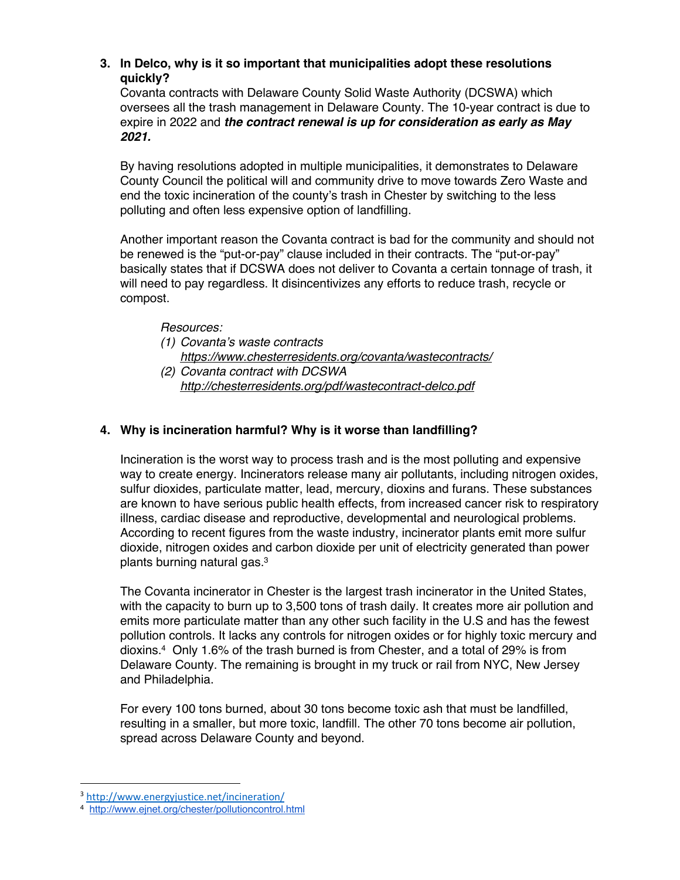## **3. In Delco, why is it so important that municipalities adopt these resolutions quickly?**

Covanta contracts with Delaware County Solid Waste Authority (DCSWA) which oversees all the trash management in Delaware County. The 10-year contract is due to expire in 2022 and *the contract renewal is up for consideration as early as May 2021.*

By having resolutions adopted in multiple municipalities, it demonstrates to Delaware County Council the political will and community drive to move towards Zero Waste and end the toxic incineration of the county's trash in Chester by switching to the less polluting and often less expensive option of landfilling.

Another important reason the Covanta contract is bad for the community and should not be renewed is the "put-or-pay" clause included in their contracts. The "put-or-pay" basically states that if DCSWA does not deliver to Covanta a certain tonnage of trash, it will need to pay regardless. It disincentivizes any efforts to reduce trash, recycle or compost.

*Resources:*

- *(1) Covanta's waste contracts https://www.chesterresidents.org/covanta/wastecontracts/*
- *(2) Covanta contract with DCSWA http://chesterresidents.org/pdf/wastecontract-delco.pdf*

## **4. Why is incineration harmful? Why is it worse than landfilling?**

Incineration is the worst way to process trash and is the most polluting and expensive way to create energy. Incinerators release many air pollutants, including nitrogen oxides, sulfur dioxides, particulate matter, lead, mercury, dioxins and furans. These substances are known to have serious public health effects, from increased cancer risk to respiratory illness, cardiac disease and reproductive, developmental and neurological problems. According to recent figures from the waste industry, incinerator plants emit more sulfur dioxide, nitrogen oxides and carbon dioxide per unit of electricity generated than power plants burning natural gas.3

The Covanta incinerator in Chester is the largest trash incinerator in the United States, with the capacity to burn up to 3,500 tons of trash daily. It creates more air pollution and emits more particulate matter than any other such facility in the U.S and has the fewest pollution controls. It lacks any controls for nitrogen oxides or for highly toxic mercury and dioxins. <sup>4</sup> Only 1.6% of the trash burned is from Chester, and a total of 29% is from Delaware County. The remaining is brought in my truck or rail from NYC, New Jersey and Philadelphia.

For every 100 tons burned, about 30 tons become toxic ash that must be landfilled, resulting in a smaller, but more toxic, landfill. The other 70 tons become air pollution, spread across Delaware County and beyond.

<sup>3</sup> http://www.energyjustice.net/incineration/

<sup>4</sup> http://www.ejnet.org/chester/pollutioncontrol.html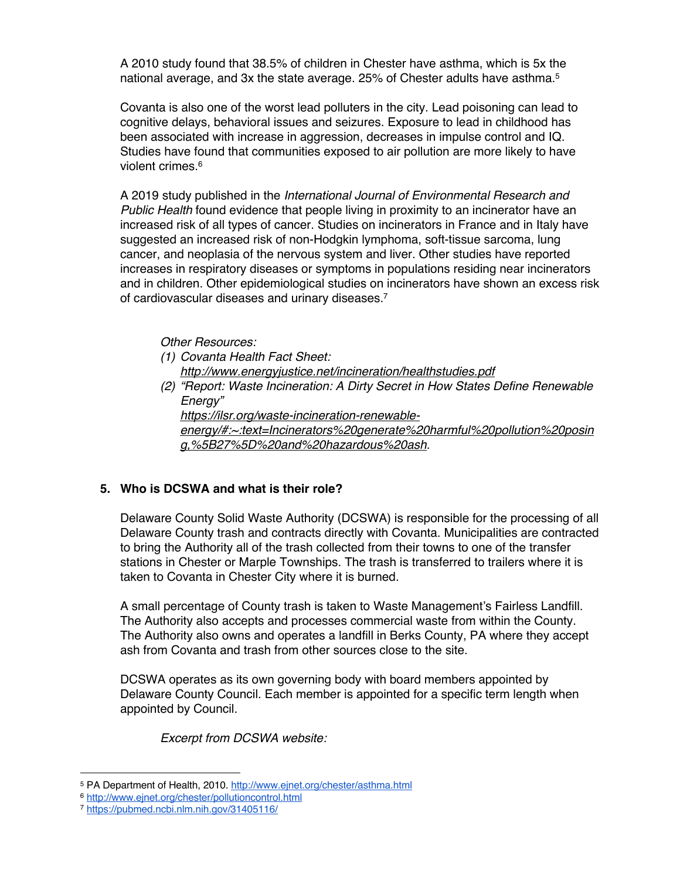A 2010 study found that 38.5% of children in Chester have asthma, which is 5x the national average, and 3x the state average. 25% of Chester adults have asthma.<sup>5</sup>

Covanta is also one of the worst lead polluters in the city. Lead poisoning can lead to cognitive delays, behavioral issues and seizures. Exposure to lead in childhood has been associated with increase in aggression, decreases in impulse control and IQ. Studies have found that communities exposed to air pollution are more likely to have violent crimes.<sup>6</sup>

A 2019 study published in the *International Journal of Environmental Research and Public Health* found evidence that people living in proximity to an incinerator have an increased risk of all types of cancer. Studies on incinerators in France and in Italy have suggested an increased risk of non-Hodgkin lymphoma, soft-tissue sarcoma, lung cancer, and neoplasia of the nervous system and liver. Other studies have reported increases in respiratory diseases or symptoms in populations residing near incinerators and in children. Other epidemiological studies on incinerators have shown an excess risk of cardiovascular diseases and urinary diseases.7

*Other Resources:*

- *(1) Covanta Health Fact Sheet: http://www.energyjustice.net/incineration/healthstudies.pdf*
- *(2) "Report: Waste Incineration: A Dirty Secret in How States Define Renewable Energy"*

*https://ilsr.org/waste-incineration-renewable-*

*energy/#:~:text=Incinerators%20generate%20harmful%20pollution%20posin g,%5B27%5D%20and%20hazardous%20ash.*

## **5. Who is DCSWA and what is their role?**

Delaware County Solid Waste Authority (DCSWA) is responsible for the processing of all Delaware County trash and contracts directly with Covanta. Municipalities are contracted to bring the Authority all of the trash collected from their towns to one of the transfer stations in Chester or Marple Townships. The trash is transferred to trailers where it is taken to Covanta in Chester City where it is burned.

A small percentage of County trash is taken to Waste Management's Fairless Landfill. The Authority also accepts and processes commercial waste from within the County. The Authority also owns and operates a landfill in Berks County, PA where they accept ash from Covanta and trash from other sources close to the site.

DCSWA operates as its own governing body with board members appointed by Delaware County Council. Each member is appointed for a specific term length when appointed by Council.

*Excerpt from DCSWA website:*

<sup>5</sup> PA Department of Health, 2010. http://www.ejnet.org/chester/asthma.html

<sup>6</sup> http://www.ejnet.org/chester/pollutioncontrol.html

<sup>7</sup> https://pubmed.ncbi.nlm.nih.gov/31405116/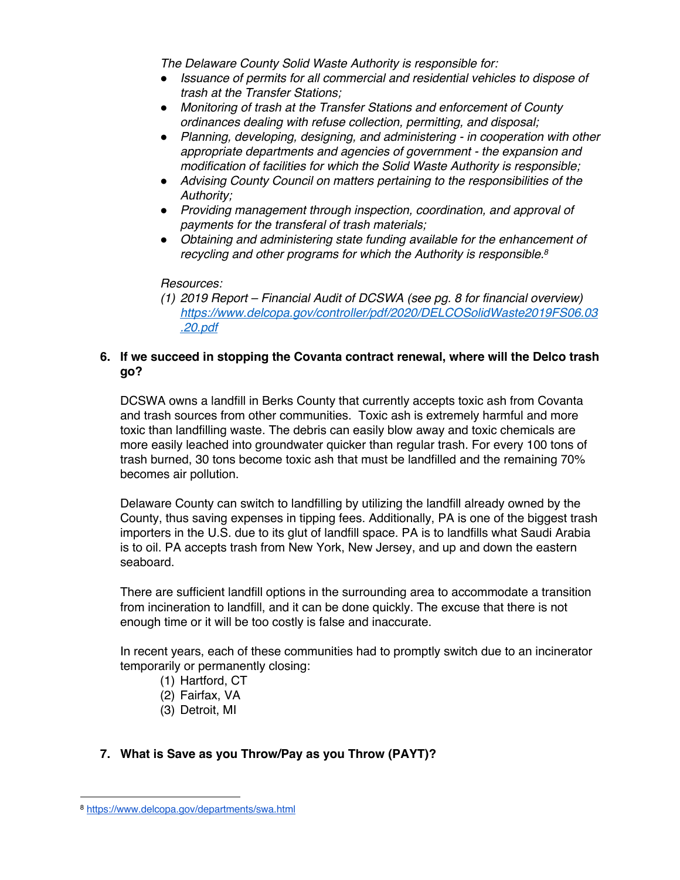*The Delaware County Solid Waste Authority is responsible for:*

- *Issuance of permits for all commercial and residential vehicles to dispose of trash at the Transfer Stations;*
- *Monitoring of trash at the Transfer Stations and enforcement of County ordinances dealing with refuse collection, permitting, and disposal;*
- *Planning, developing, designing, and administering - in cooperation with other appropriate departments and agencies of government - the expansion and modification of facilities for which the Solid Waste Authority is responsible;*
- *Advising County Council on matters pertaining to the responsibilities of the Authority;*
- *Providing management through inspection, coordination, and approval of payments for the transferal of trash materials;*
- *Obtaining and administering state funding available for the enhancement of recycling and other programs for which the Authority is responsible. 8*

#### *Resources:*

*(1) 2019 Report – Financial Audit of DCSWA (see pg. 8 for financial overview) https://www.delcopa.gov/controller/pdf/2020/DELCOSolidWaste2019FS06.03 .20.pdf*

## **6. If we succeed in stopping the Covanta contract renewal, where will the Delco trash go?**

DCSWA owns a landfill in Berks County that currently accepts toxic ash from Covanta and trash sources from other communities. Toxic ash is extremely harmful and more toxic than landfilling waste. The debris can easily blow away and toxic chemicals are more easily leached into groundwater quicker than regular trash. For every 100 tons of trash burned, 30 tons become toxic ash that must be landfilled and the remaining 70% becomes air pollution.

Delaware County can switch to landfilling by utilizing the landfill already owned by the County, thus saving expenses in tipping fees. Additionally, PA is one of the biggest trash importers in the U.S. due to its glut of landfill space. PA is to landfills what Saudi Arabia is to oil. PA accepts trash from New York, New Jersey, and up and down the eastern seaboard.

There are sufficient landfill options in the surrounding area to accommodate a transition from incineration to landfill, and it can be done quickly. The excuse that there is not enough time or it will be too costly is false and inaccurate.

In recent years, each of these communities had to promptly switch due to an incinerator temporarily or permanently closing:

- (1) Hartford, CT
- (2) Fairfax, VA
- (3) Detroit, MI

## **7. What is Save as you Throw/Pay as you Throw (PAYT)?**

<sup>8</sup> https://www.delcopa.gov/departments/swa.html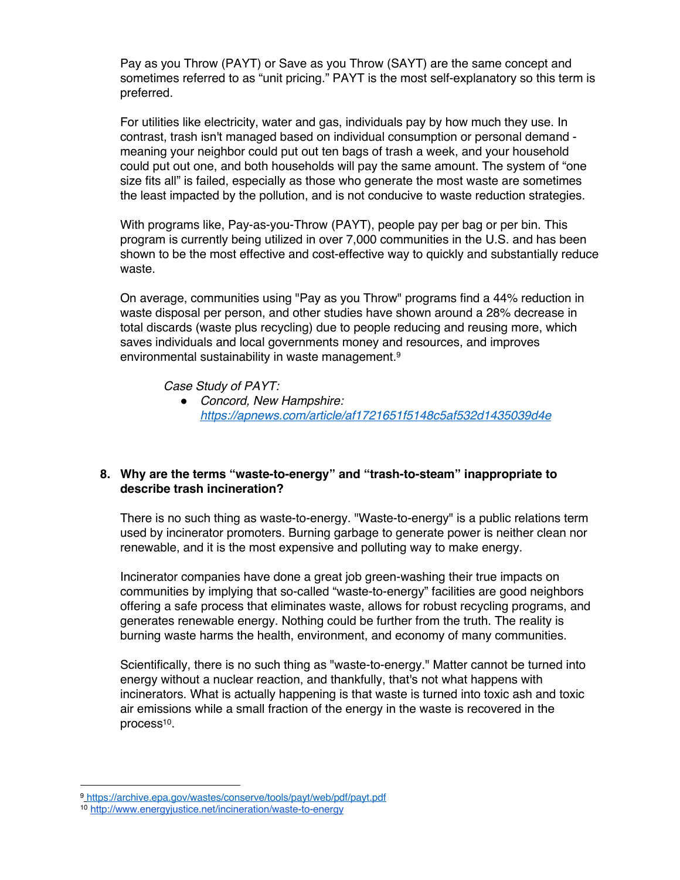Pay as you Throw (PAYT) or Save as you Throw (SAYT) are the same concept and sometimes referred to as "unit pricing." PAYT is the most self-explanatory so this term is preferred.

For utilities like electricity, water and gas, individuals pay by how much they use. In contrast, trash isn't managed based on individual consumption or personal demand meaning your neighbor could put out ten bags of trash a week, and your household could put out one, and both households will pay the same amount. The system of "one size fits all" is failed, especially as those who generate the most waste are sometimes the least impacted by the pollution, and is not conducive to waste reduction strategies.

With programs like, Pay-as-you-Throw (PAYT), people pay per bag or per bin. This program is currently being utilized in over 7,000 communities in the U.S. and has been shown to be the most effective and cost-effective way to quickly and substantially reduce waste.

On average, communities using "Pay as you Throw" programs find a 44% reduction in waste disposal per person, and other studies have shown around a 28% decrease in total discards (waste plus recycling) due to people reducing and reusing more, which saves individuals and local governments money and resources, and improves environmental sustainability in waste management.<sup>9</sup>

*Case Study of PAYT:*

● *Concord, New Hampshire: https://apnews.com/article/af1721651f5148c5af532d1435039d4e*

## **8. Why are the terms "waste-to-energy" and "trash-to-steam" inappropriate to describe trash incineration?**

There is no such thing as waste-to-energy. "Waste-to-energy" is a public relations term used by incinerator promoters. Burning garbage to generate power is neither clean nor renewable, and it is the most expensive and polluting way to make energy.

Incinerator companies have done a great job green-washing their true impacts on communities by implying that so-called "waste-to-energy" facilities are good neighbors offering a safe process that eliminates waste, allows for robust recycling programs, and generates renewable energy. Nothing could be further from the truth. The reality is burning waste harms the health, environment, and economy of many communities.

Scientifically, there is no such thing as "waste-to-energy." Matter cannot be turned into energy without a nuclear reaction, and thankfully, that's not what happens with incinerators. What is actually happening is that waste is turned into toxic ash and toxic air emissions while a small fraction of the energy in the waste is recovered in the process<sup>10</sup>.

<sup>9</sup> https://archive.epa.gov/wastes/conserve/tools/payt/web/pdf/payt.pdf

<sup>10</sup> http://www.energyjustice.net/incineration/waste-to-energy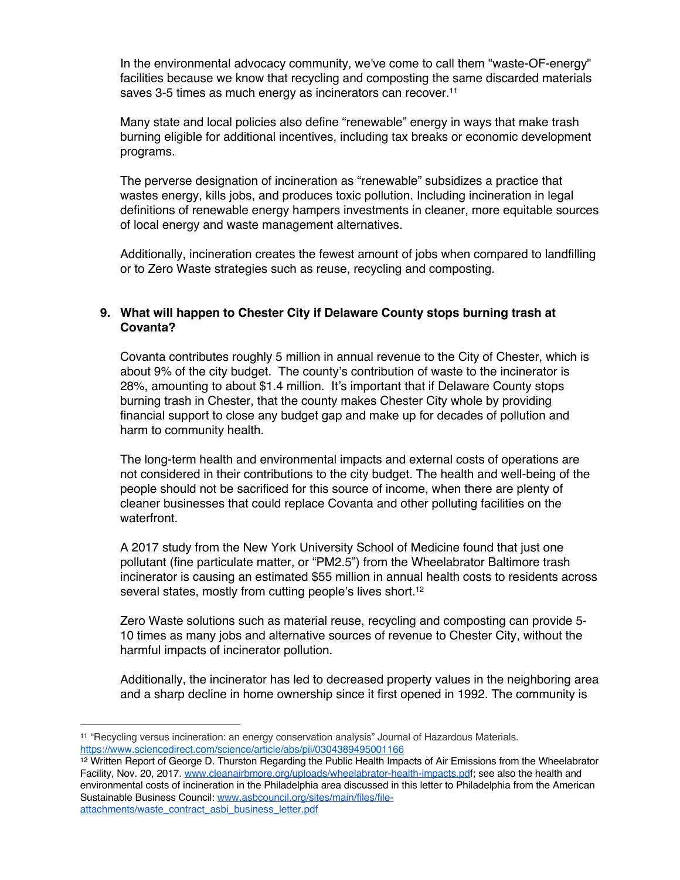In the environmental advocacy community, we've come to call them "waste-OF-energy" facilities because we know that recycling and composting the same discarded materials saves 3-5 times as much energy as incinerators can recover.<sup>11</sup>

Many state and local policies also define "renewable" energy in ways that make trash burning eligible for additional incentives, including tax breaks or economic development programs.

The perverse designation of incineration as "renewable" subsidizes a practice that wastes energy, kills jobs, and produces toxic pollution. Including incineration in legal definitions of renewable energy hampers investments in cleaner, more equitable sources of local energy and waste management alternatives.

Additionally, incineration creates the fewest amount of jobs when compared to landfilling or to Zero Waste strategies such as reuse, recycling and composting.

## **9. What will happen to Chester City if Delaware County stops burning trash at Covanta?**

Covanta contributes roughly 5 million in annual revenue to the City of Chester, which is about 9% of the city budget. The county's contribution of waste to the incinerator is 28%, amounting to about \$1.4 million. It's important that if Delaware County stops burning trash in Chester, that the county makes Chester City whole by providing financial support to close any budget gap and make up for decades of pollution and harm to community health.

The long-term health and environmental impacts and external costs of operations are not considered in their contributions to the city budget. The health and well-being of the people should not be sacrificed for this source of income, when there are plenty of cleaner businesses that could replace Covanta and other polluting facilities on the waterfront.

A 2017 study from the New York University School of Medicine found that just one pollutant (fine particulate matter, or "PM2.5") from the Wheelabrator Baltimore trash incinerator is causing an estimated \$55 million in annual health costs to residents across several states, mostly from cutting people's lives short.<sup>12</sup>

Zero Waste solutions such as material reuse, recycling and composting can provide 5- 10 times as many jobs and alternative sources of revenue to Chester City, without the harmful impacts of incinerator pollution.

Additionally, the incinerator has led to decreased property values in the neighboring area and a sharp decline in home ownership since it first opened in 1992. The community is

<sup>11</sup> "Recycling versus incineration: an energy conservation analysis" Journal of Hazardous Materials. https://www.sciencedirect.com/science/article/abs/pii/0304389495001166

<sup>12</sup> Written Report of George D. Thurston Regarding the Public Health Impacts of Air Emissions from the Wheelabrator Facility, Nov. 20, 2017. www.cleanairbmore.org/uploads/wheelabrator-health-impacts.pdf; see also the health and environmental costs of incineration in the Philadelphia area discussed in this letter to Philadelphia from the American Sustainable Business Council: www.asbcouncil.org/sites/main/files/fileattachments/waste\_contract\_asbi\_business\_letter.pdf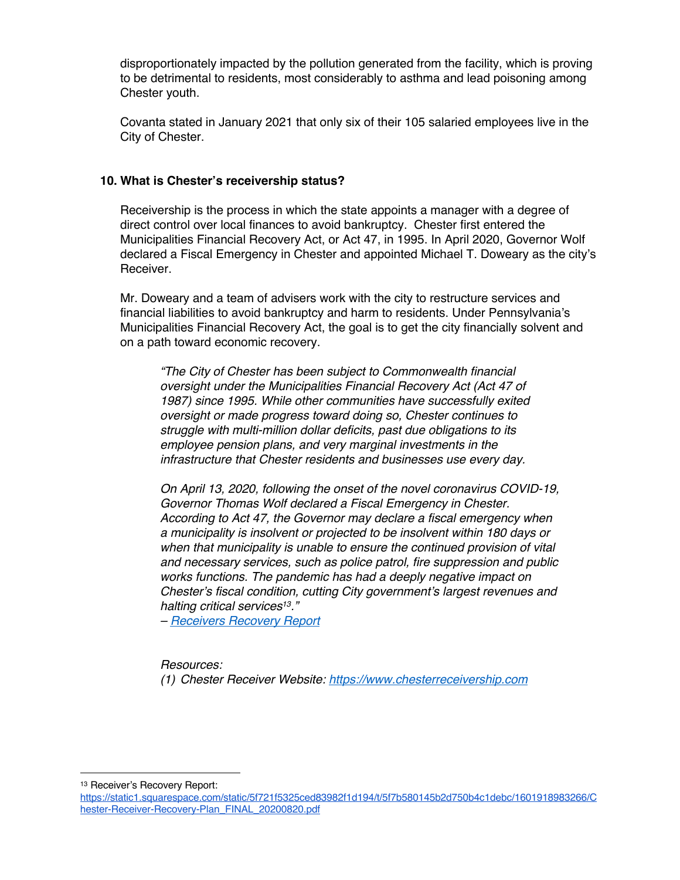disproportionately impacted by the pollution generated from the facility, which is proving to be detrimental to residents, most considerably to asthma and lead poisoning among Chester youth.

Covanta stated in January 2021 that only six of their 105 salaried employees live in the City of Chester.

#### **10. What is Chester's receivership status?**

Receivership is the process in which the state appoints a manager with a degree of direct control over local finances to avoid bankruptcy. Chester first entered the Municipalities Financial Recovery Act, or Act 47, in 1995. In April 2020, Governor Wolf declared a Fiscal Emergency in Chester and appointed Michael T. Doweary as the city's Receiver.

Mr. Doweary and a team of advisers work with the city to restructure services and financial liabilities to avoid bankruptcy and harm to residents. Under Pennsylvania's Municipalities Financial Recovery Act, the goal is to get the city financially solvent and on a path toward economic recovery.

*"The City of Chester has been subject to Commonwealth financial oversight under the Municipalities Financial Recovery Act (Act 47 of 1987) since 1995. While other communities have successfully exited oversight or made progress toward doing so, Chester continues to struggle with multi*‐*million dollar deficits, past due obligations to its employee pension plans, and very marginal investments in the infrastructure that Chester residents and businesses use every day.* 

*On April 13, 2020, following the onset of the novel coronavirus COVID*‐*19, Governor Thomas Wolf declared a Fiscal Emergency in Chester. According to Act 47, the Governor may declare a fiscal emergency when a municipality is insolvent or projected to be insolvent within 180 days or when that municipality is unable to ensure the continued provision of vital and necessary services, such as police patrol, fire suppression and public works functions. The pandemic has had a deeply negative impact on Chester's fiscal condition, cutting City government's largest revenues and halting critical services13."* 

*– Receivers Recovery Report*

*Resources:*

*(1) Chester Receiver Website: https://www.chesterreceivership.com*

<sup>13</sup> Receiver's Recovery Report:

https://static1.squarespace.com/static/5f721f5325ced83982f1d194/t/5f7b580145b2d750b4c1debc/1601918983266/C hester-Receiver-Recovery-Plan\_FINAL\_20200820.pdf